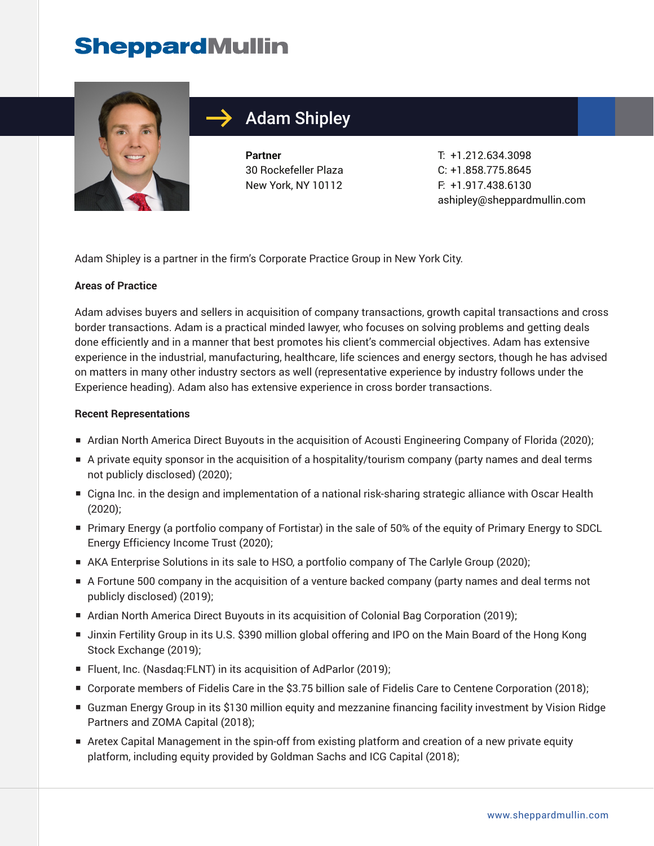# **SheppardMullin**



## Adam Shipley

**Partner** 30 Rockefeller Plaza New York, NY 10112

T: +1.212.634.3098 C: +1.858.775.8645 F: +1.917.438.6130 ashipley@sheppardmullin.com

Adam Shipley is a partner in the firm's Corporate Practice Group in New York City.

#### **Areas of Practice**

Adam advises buyers and sellers in acquisition of company transactions, growth capital transactions and cross border transactions. Adam is a practical minded lawyer, who focuses on solving problems and getting deals done efficiently and in a manner that best promotes his client's commercial objectives. Adam has extensive experience in the industrial, manufacturing, healthcare, life sciences and energy sectors, though he has advised on matters in many other industry sectors as well (representative experience by industry follows under the Experience heading). Adam also has extensive experience in cross border transactions.

#### **Recent Representations**

- Ardian North America Direct Buyouts in the acquisition of Acousti Engineering Company of Florida (2020);
- A private equity sponsor in the acquisition of a hospitality/tourism company (party names and deal terms not publicly disclosed) (2020);
- Cigna Inc. in the design and implementation of a national risk-sharing strategic alliance with Oscar Health (2020);
- Primary Energy (a portfolio company of Fortistar) in the sale of 50% of the equity of Primary Energy to SDCL Energy Efficiency Income Trust (2020);
- AKA Enterprise Solutions in its sale to HSO, a portfolio company of The Carlyle Group (2020);
- A Fortune 500 company in the acquisition of a venture backed company (party names and deal terms not publicly disclosed) (2019);
- Ardian North America Direct Buyouts in its acquisition of Colonial Bag Corporation (2019);
- Jinxin Fertility Group in its U.S. \$390 million global offering and IPO on the Main Board of the Hong Kong Stock Exchange (2019);
- Fluent, Inc. (Nasdaq:FLNT) in its acquisition of AdParlor (2019);
- Corporate members of Fidelis Care in the \$3.75 billion sale of Fidelis Care to Centene Corporation (2018);
- Guzman Energy Group in its \$130 million equity and mezzanine financing facility investment by Vision Ridge Partners and ZOMA Capital (2018);
- Aretex Capital Management in the spin-off from existing platform and creation of a new private equity platform, including equity provided by Goldman Sachs and ICG Capital (2018);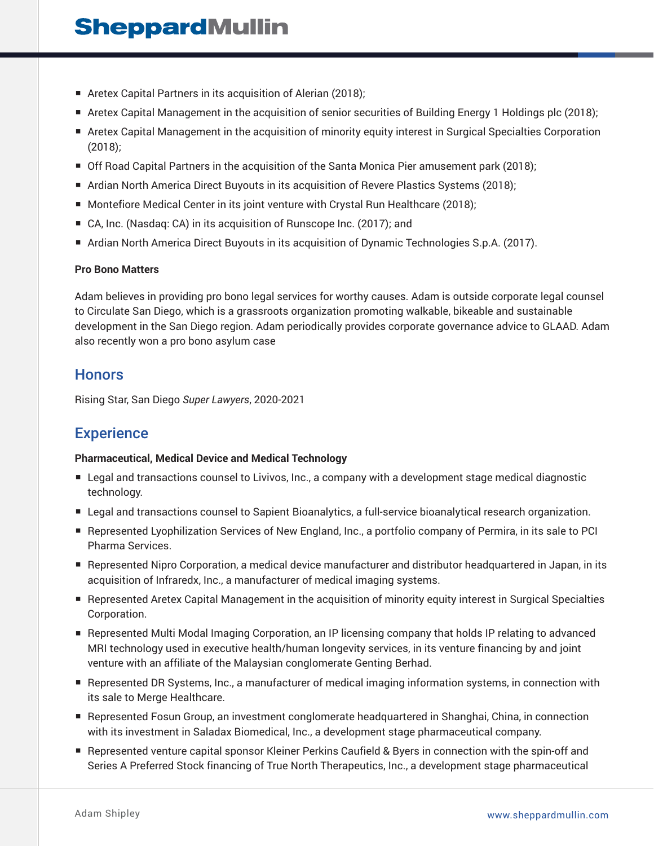# **SheppardMullin**

- Aretex Capital Partners in its acquisition of Alerian (2018);
- Aretex Capital Management in the acquisition of senior securities of Building Energy 1 Holdings plc (2018);
- Aretex Capital Management in the acquisition of minority equity interest in Surgical Specialties Corporation (2018);
- Off Road Capital Partners in the acquisition of the Santa Monica Pier amusement park (2018);
- Ardian North America Direct Buyouts in its acquisition of Revere Plastics Systems (2018);
- Montefiore Medical Center in its joint venture with Crystal Run Healthcare (2018);
- CA, Inc. (Nasdaq: CA) in its acquisition of Runscope Inc. (2017); and
- Ardian North America Direct Buyouts in its acquisition of Dynamic Technologies S.p.A. (2017).

#### **Pro Bono Matters**

Adam believes in providing pro bono legal services for worthy causes. Adam is outside corporate legal counsel to Circulate San Diego, which is a grassroots organization promoting walkable, bikeable and sustainable development in the San Diego region. Adam periodically provides corporate governance advice to GLAAD. Adam also recently won a pro bono asylum case

### **Honors**

Rising Star, San Diego *Super Lawyers*, 2020-2021

### **Experience**

#### **Pharmaceutical, Medical Device and Medical Technology**

- Legal and transactions counsel to Livivos, Inc., a company with a development stage medical diagnostic technology.
- Legal and transactions counsel to Sapient Bioanalytics, a full-service bioanalytical research organization.
- Represented Lyophilization Services of New England, Inc., a portfolio company of Permira, in its sale to PCI Pharma Services.
- Represented Nipro Corporation, a medical device manufacturer and distributor headquartered in Japan, in its acquisition of Infraredx, Inc., a manufacturer of medical imaging systems.
- Represented Aretex Capital Management in the acquisition of minority equity interest in Surgical Specialties Corporation.
- Represented Multi Modal Imaging Corporation, an IP licensing company that holds IP relating to advanced MRI technology used in executive health/human longevity services, in its venture financing by and joint venture with an affiliate of the Malaysian conglomerate Genting Berhad.
- Represented DR Systems, Inc., a manufacturer of medical imaging information systems, in connection with its sale to Merge Healthcare.
- Represented Fosun Group, an investment conglomerate headquartered in Shanghai, China, in connection with its investment in Saladax Biomedical, Inc., a development stage pharmaceutical company.
- Represented venture capital sponsor Kleiner Perkins Caufield & Byers in connection with the spin-off and Series A Preferred Stock financing of True North Therapeutics, Inc., a development stage pharmaceutical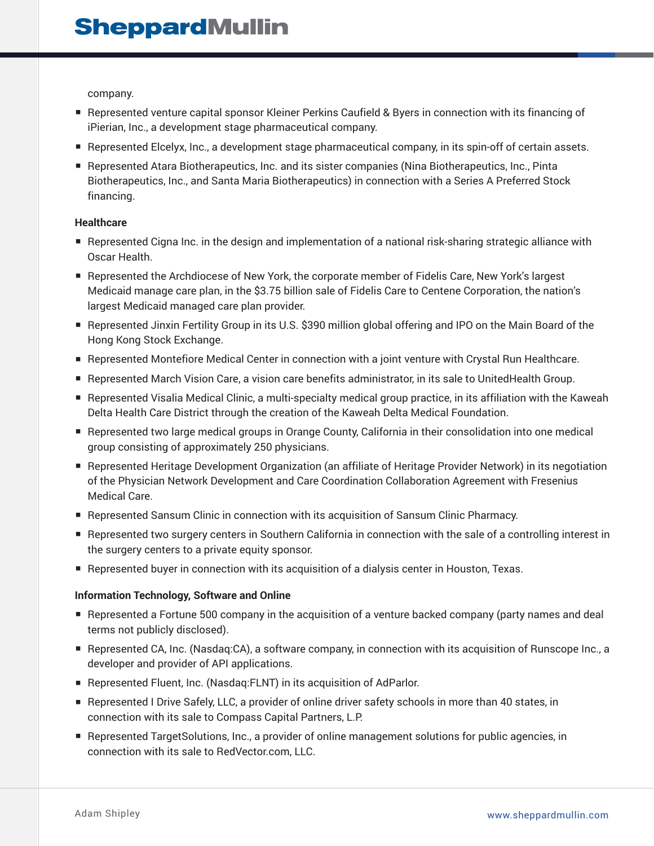company.

- Represented venture capital sponsor Kleiner Perkins Caufield & Byers in connection with its financing of iPierian, Inc., a development stage pharmaceutical company.
- Represented Elcelyx, Inc., a development stage pharmaceutical company, in its spin-off of certain assets.
- Represented Atara Biotherapeutics, Inc. and its sister companies (Nina Biotherapeutics, Inc., Pinta Biotherapeutics, Inc., and Santa Maria Biotherapeutics) in connection with a Series A Preferred Stock financing.

#### **Healthcare**

- Represented Cigna Inc. in the design and implementation of a national risk-sharing strategic alliance with Oscar Health.
- Represented the Archdiocese of New York, the corporate member of Fidelis Care, New York's largest Medicaid manage care plan, in the \$3.75 billion sale of Fidelis Care to Centene Corporation, the nation's largest Medicaid managed care plan provider.
- Represented Jinxin Fertility Group in its U.S. \$390 million global offering and IPO on the Main Board of the Hong Kong Stock Exchange.
- Represented Montefiore Medical Center in connection with a joint venture with Crystal Run Healthcare.
- Represented March Vision Care, a vision care benefits administrator, in its sale to UnitedHealth Group.
- Represented Visalia Medical Clinic, a multi-specialty medical group practice, in its affiliation with the Kaweah Delta Health Care District through the creation of the Kaweah Delta Medical Foundation.
- Represented two large medical groups in Orange County, California in their consolidation into one medical group consisting of approximately 250 physicians.
- Represented Heritage Development Organization (an affiliate of Heritage Provider Network) in its negotiation of the Physician Network Development and Care Coordination Collaboration Agreement with Fresenius Medical Care.
- Represented Sansum Clinic in connection with its acquisition of Sansum Clinic Pharmacy.
- Represented two surgery centers in Southern California in connection with the sale of a controlling interest in the surgery centers to a private equity sponsor.
- Represented buyer in connection with its acquisition of a dialysis center in Houston, Texas.

#### **Information Technology, Software and Online**

- Represented a Fortune 500 company in the acquisition of a venture backed company (party names and deal terms not publicly disclosed).
- Represented CA, Inc. (Nasdaq:CA), a software company, in connection with its acquisition of Runscope Inc., a developer and provider of API applications.
- Represented Fluent, Inc. (Nasdag:FLNT) in its acquisition of AdParlor.
- Represented I Drive Safely, LLC, a provider of online driver safety schools in more than 40 states, in connection with its sale to Compass Capital Partners, L.P.
- Represented TargetSolutions, Inc., a provider of online management solutions for public agencies, in connection with its sale to RedVector.com, LLC.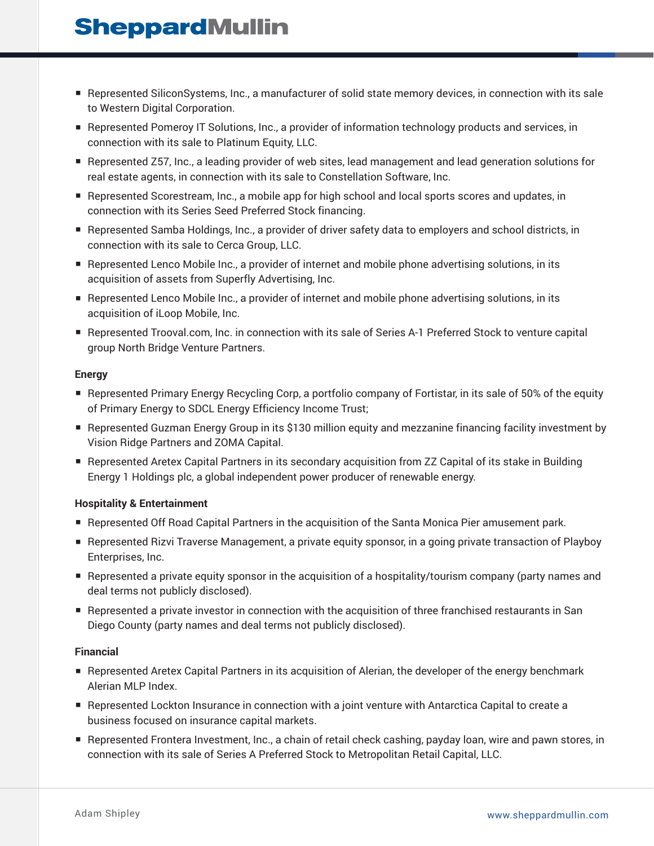# **SheppardMullin**

- Represented SiliconSystems, Inc., a manufacturer of solid state memory devices, in connection with its sale to Western Digital Corporation.
- Represented Pomeroy IT Solutions, Inc., a provider of information technology products and services, in connection with its sale to Platinum Equity, LLC.
- Represented Z57, Inc., a leading provider of web sites, lead management and lead generation solutions for real estate agents, in connection with its sale to Constellation Software, Inc.
- Represented Scorestream, Inc., a mobile app for high school and local sports scores and updates, in connection with its Series Seed Preferred Stock financing.
- Represented Samba Holdings, Inc., a provider of driver safety data to employers and school districts, in connection with its sale to Cerca Group, LLC.
- Represented Lenco Mobile Inc., a provider of internet and mobile phone advertising solutions, in its acquisition of assets from Superfly Advertising, Inc.
- Represented Lenco Mobile Inc., a provider of internet and mobile phone advertising solutions, in its acquisition of iLoop Mobile, Inc.
- Represented Trooval.com, Inc. in connection with its sale of Series A-1 Preferred Stock to venture capital group North Bridge Venture Partners.

#### **Energy**

- Represented Primary Energy Recycling Corp, a portfolio company of Fortistar, in its sale of 50% of the equity of Primary Energy to SDCL Energy Efficiency Income Trust;
- Represented Guzman Energy Group in its \$130 million equity and mezzanine financing facility investment by Vision Ridge Partners and ZOMA Capital.
- Represented Aretex Capital Partners in its secondary acquisition from ZZ Capital of its stake in Building Energy 1 Holdings plc, a global independent power producer of renewable energy.

#### **Hospitality & Entertainment**

- Represented Off Road Capital Partners in the acquisition of the Santa Monica Pier amusement park.
- Represented Rizvi Traverse Management, a private equity sponsor, in a going private transaction of Playboy Enterprises, Inc.
- Represented a private equity sponsor in the acquisition of a hospitality/tourism company (party names and deal terms not publicly disclosed).
- Represented a private investor in connection with the acquisition of three franchised restaurants in San Diego County (party names and deal terms not publicly disclosed).

#### **Financial**

- Represented Aretex Capital Partners in its acquisition of Alerian, the developer of the energy benchmark Alerian MLP Index.
- Represented Lockton Insurance in connection with a joint venture with Antarctica Capital to create a business focused on insurance capital markets.
- Represented Frontera Investment, Inc., a chain of retail check cashing, payday loan, wire and pawn stores, in connection with its sale of Series A Preferred Stock to Metropolitan Retail Capital, LLC.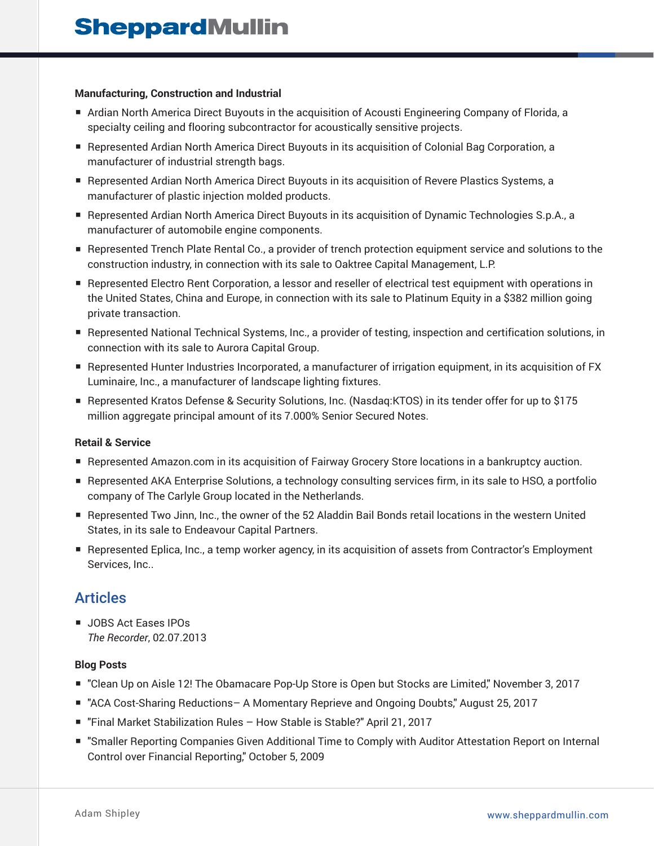#### **Manufacturing, Construction and Industrial**

- Ardian North America Direct Buyouts in the acquisition of Acousti Engineering Company of Florida, a specialty ceiling and flooring subcontractor for acoustically sensitive projects.
- Represented Ardian North America Direct Buyouts in its acquisition of Colonial Bag Corporation, a manufacturer of industrial strength bags.
- Represented Ardian North America Direct Buyouts in its acquisition of Revere Plastics Systems, a manufacturer of plastic injection molded products.
- Represented Ardian North America Direct Buyouts in its acquisition of Dynamic Technologies S.p.A., a manufacturer of automobile engine components.
- Represented Trench Plate Rental Co., a provider of trench protection equipment service and solutions to the construction industry, in connection with its sale to Oaktree Capital Management, L.P.
- Represented Electro Rent Corporation, a lessor and reseller of electrical test equipment with operations in the United States, China and Europe, in connection with its sale to Platinum Equity in a \$382 million going private transaction.
- Represented National Technical Systems, Inc., a provider of testing, inspection and certification solutions, in connection with its sale to Aurora Capital Group.
- Represented Hunter Industries Incorporated, a manufacturer of irrigation equipment, in its acquisition of FX Luminaire, Inc., a manufacturer of landscape lighting fixtures.
- Represented Kratos Defense & Security Solutions, Inc. (Nasdaq:KTOS) in its tender offer for up to \$175 million aggregate principal amount of its 7.000% Senior Secured Notes.

#### **Retail & Service**

- Represented Amazon.com in its acquisition of Fairway Grocery Store locations in a bankruptcy auction.
- Represented AKA Enterprise Solutions, a technology consulting services firm, in its sale to HSO, a portfolio company of The Carlyle Group located in the Netherlands.
- Represented Two Jinn, Inc., the owner of the 52 Aladdin Bail Bonds retail locations in the western United States, in its sale to Endeavour Capital Partners.
- Represented Eplica, Inc., a temp worker agency, in its acquisition of assets from Contractor's Employment Services, Inc..

### **Articles**

■ JOBS Act Eases IPOs *The Recorder*, 02.07.2013

#### **Blog Posts**

- "Clean Up on Aisle 12! The Obamacare Pop-Up Store is Open but Stocks are Limited," November 3, 2017
- "ACA Cost-Sharing Reductions- A Momentary Reprieve and Ongoing Doubts," August 25, 2017
- "Final Market Stabilization Rules How Stable is Stable?" April 21, 2017
- "Smaller Reporting Companies Given Additional Time to Comply with Auditor Attestation Report on Internal Control over Financial Reporting," October 5, 2009